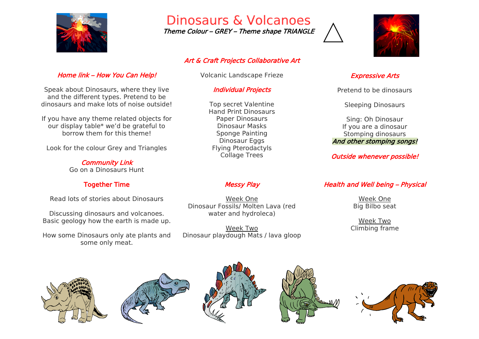

Home link – How You Can Help!

Speak about Dinosaurs, where they live and the different types. Pretend to be dinosaurs and make lots of noise outside!

If you have any theme related objects for our display table\* we'd be grateful to borrow them for this theme!

Look for the colour Grey and Triangles

Community Link Go on a Dinosaurs Hunt

Together Time

Read lots of stories about Dinosaurs

Discussing dinosaurs and volcanoes. Basic geology how the earth is made up.

How some Dinosaurs only ate plants and some only meat.

# Dinosaurs & Volcanoes

Theme Colour – GREY – Theme shape TRIANGLE

### Art & Craft Projects Collaborative Art

Volcanic Landscape Frieze

### Individual Projects

Top secret Valentine Hand Print Dinosaurs Paper Dinosaurs Dinosaur Masks Sponge Painting Dinosaur Eggs Flying Pterodactyls Collage Trees

# Messy Play

Week One Dinosaur Fossils/ Molten Lava (red water and hydroleca)

Week Two Dinosaur playdough Mats / lava gloop



#### Expressive Arts

Pretend to be dinosaurs

Sleeping Dinosaurs

Sing: Oh Dinosaur If you are a dinosaur Stomping dinosaurs And other stomping songs!

Outside whenever possible!

# Health and Well being – Physical

Week One Big Bilbo seat

Week Two Climbing frame